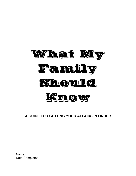

# **A GUIDE FOR GETTING YOUR AFFAIRS IN ORDER**

| Name:           |  |
|-----------------|--|
| Date Completed: |  |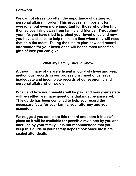# **Foreword**

**We cannot stress too often the importance of getting your personal affairs in order. This process is important for everyone, but even more important for those who often find themselves living away from family and friends. Throughout your life, you have tried to protect your loved ones and now you have a chance to help them at a time when they will need that help the most. Taking the time to plan now and record information for your loved ones will be the most unselfish gifts of love you can give.** 

# **What My Family Should Know**

**Although many of us are efficient in our daily lives and keep meticulous records in our professions, most of us leave inadequate and incomplete records of our economic and personal affairs when we die.**

**When and how your benefits will be paid and how your estate will be settled are many questions that must be answered. This guide has been compiled to help you record the necessary facts for your family, your attorney and your executor.** 

**We suggest you complete this record and store it in a safe place so it will be available for possible revisions by you and later use by your family. It is not recommended that you keep this guide in your safety deposit box since most are sealed after death.**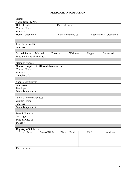# **PERSONAL INFORMATION**

| Name:                                     |               |                       |            |                           |  |  |  |
|-------------------------------------------|---------------|-----------------------|------------|---------------------------|--|--|--|
| Social Security No.                       |               |                       |            |                           |  |  |  |
| Date of Birth:                            |               | Place of Birth:       |            |                           |  |  |  |
| <b>Current Home</b>                       |               |                       |            |                           |  |  |  |
| Address:                                  |               |                       |            |                           |  |  |  |
| Home Telephone #:                         |               | Work Telephone #:     |            | Supervisor's Telephone #: |  |  |  |
|                                           |               |                       |            |                           |  |  |  |
|                                           |               |                       |            |                           |  |  |  |
| Prior or Permanent                        |               |                       |            |                           |  |  |  |
| Address:                                  |               |                       |            |                           |  |  |  |
|                                           |               |                       |            |                           |  |  |  |
| Marital Status:                           | Married:      | Divorced:<br>Widowed: | Single:    | Separated:                |  |  |  |
| Date and Place of Marriage:               |               |                       |            |                           |  |  |  |
|                                           |               |                       |            |                           |  |  |  |
| Name of Spouse:                           |               |                       |            |                           |  |  |  |
| (Please complete if different than above) |               |                       |            |                           |  |  |  |
| <b>Current Home</b>                       |               |                       |            |                           |  |  |  |
| Address:                                  |               |                       |            |                           |  |  |  |
| Telephone #:                              |               |                       |            |                           |  |  |  |
|                                           |               |                       |            |                           |  |  |  |
| Spouse's Employer:                        |               |                       |            |                           |  |  |  |
| Address of                                |               |                       |            |                           |  |  |  |
| Employer:                                 |               |                       |            |                           |  |  |  |
| Work Telephone #:                         |               |                       |            |                           |  |  |  |
|                                           |               |                       |            |                           |  |  |  |
| Name of Former Spouse:                    |               |                       |            |                           |  |  |  |
| <b>Current Home</b>                       |               |                       |            |                           |  |  |  |
| Address:                                  |               |                       |            |                           |  |  |  |
| Work Telephone #:                         |               |                       |            |                           |  |  |  |
|                                           |               |                       |            |                           |  |  |  |
| Date & Place of                           |               |                       |            |                           |  |  |  |
| Marriage:                                 |               |                       |            |                           |  |  |  |
| Date & Place of                           |               |                       |            |                           |  |  |  |
| Divorce:                                  |               |                       |            |                           |  |  |  |
|                                           |               |                       |            |                           |  |  |  |
| <b>Registry of Children:</b>              |               |                       |            |                           |  |  |  |
| Given Name                                | Date of Birth | Place of Birth        | <b>SSN</b> | Address                   |  |  |  |
|                                           |               |                       |            |                           |  |  |  |
|                                           |               |                       |            |                           |  |  |  |
|                                           |               |                       |            |                           |  |  |  |
|                                           |               |                       |            |                           |  |  |  |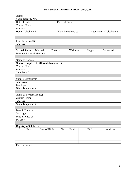# **PERSONAL INFORMATION - SPOUSE**

| Name:                                     |               |                   |            |                           |  |  |  |  |
|-------------------------------------------|---------------|-------------------|------------|---------------------------|--|--|--|--|
| Social Security No.                       |               |                   |            |                           |  |  |  |  |
| Date of Birth:<br>Place of Birth:         |               |                   |            |                           |  |  |  |  |
| <b>Current Home</b>                       |               |                   |            |                           |  |  |  |  |
| Address:                                  |               |                   |            |                           |  |  |  |  |
|                                           |               |                   |            |                           |  |  |  |  |
| Home Telephone #:                         |               | Work Telephone #: |            | Supervisor's Telephone #: |  |  |  |  |
|                                           |               |                   |            |                           |  |  |  |  |
| Prior or Permanent                        |               |                   |            |                           |  |  |  |  |
| Address:                                  |               |                   |            |                           |  |  |  |  |
|                                           |               |                   |            |                           |  |  |  |  |
|                                           | Married       | Widowed           |            |                           |  |  |  |  |
| Marital Status:                           |               | Divorced          | Single     | Separated                 |  |  |  |  |
| Date and Place of Marriage:               |               |                   |            |                           |  |  |  |  |
|                                           |               |                   |            |                           |  |  |  |  |
| Name of Spouse:                           |               |                   |            |                           |  |  |  |  |
| (Please complete if different than above) |               |                   |            |                           |  |  |  |  |
| <b>Current Home</b>                       |               |                   |            |                           |  |  |  |  |
| Address:                                  |               |                   |            |                           |  |  |  |  |
| Telephone #:                              |               |                   |            |                           |  |  |  |  |
|                                           |               |                   |            |                           |  |  |  |  |
| Spouse's Employer:                        |               |                   |            |                           |  |  |  |  |
| Address of                                |               |                   |            |                           |  |  |  |  |
| Employer:                                 |               |                   |            |                           |  |  |  |  |
| Work Telephone #:                         |               |                   |            |                           |  |  |  |  |
|                                           |               |                   |            |                           |  |  |  |  |
| Name of Former Spouse:                    |               |                   |            |                           |  |  |  |  |
| <b>Current Home</b>                       |               |                   |            |                           |  |  |  |  |
| Address:                                  |               |                   |            |                           |  |  |  |  |
| Work Telephone #:                         |               |                   |            |                           |  |  |  |  |
|                                           |               |                   |            |                           |  |  |  |  |
| Date & Place of                           |               |                   |            |                           |  |  |  |  |
| Marriage:                                 |               |                   |            |                           |  |  |  |  |
| Date & Place of                           |               |                   |            |                           |  |  |  |  |
| Divorce:                                  |               |                   |            |                           |  |  |  |  |
|                                           |               |                   |            |                           |  |  |  |  |
| <b>Registry of Children:</b>              |               |                   |            |                           |  |  |  |  |
| Given Name                                | Date of Birth | Place of Birth    | <b>SSN</b> | Address                   |  |  |  |  |
|                                           |               |                   |            |                           |  |  |  |  |
|                                           |               |                   |            |                           |  |  |  |  |
|                                           |               |                   |            |                           |  |  |  |  |
|                                           |               |                   |            |                           |  |  |  |  |
| r                                         |               |                   |            |                           |  |  |  |  |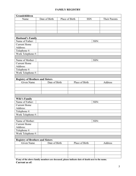## **FAMILY REGISTRY**

| Grandchildren                                         |               |                |                |                      |  |
|-------------------------------------------------------|---------------|----------------|----------------|----------------------|--|
| Name                                                  | Date of Birth | Place of Birth | <b>SSN</b>     | <b>Their Parents</b> |  |
|                                                       |               |                |                |                      |  |
|                                                       |               |                |                |                      |  |
|                                                       |               |                |                |                      |  |
|                                                       |               |                |                |                      |  |
|                                                       |               |                |                |                      |  |
| <b>Husband's Family</b>                               |               |                |                |                      |  |
| Name of Father:                                       |               |                |                | SSN:                 |  |
| <b>Current Home</b>                                   |               |                |                |                      |  |
| Address:                                              |               |                |                |                      |  |
| Telephone $#$ :                                       |               |                |                |                      |  |
| Work Telephone #:                                     |               |                |                |                      |  |
|                                                       |               |                |                |                      |  |
| Name of Mother:                                       |               |                |                | SSN:                 |  |
| <b>Current Home</b>                                   |               |                |                |                      |  |
| Address:                                              |               |                |                |                      |  |
| Telephone #:                                          |               |                |                |                      |  |
| Work Telephone #:                                     |               |                |                |                      |  |
|                                                       |               |                |                |                      |  |
| <b>Registry of Brothers and Sisters</b>               |               |                |                |                      |  |
| <b>Given Name</b>                                     | Date of Birth |                | Place of Birth | Address              |  |
|                                                       |               |                |                |                      |  |
|                                                       |               |                |                |                      |  |
|                                                       |               |                |                |                      |  |
|                                                       |               |                |                |                      |  |
|                                                       |               |                |                |                      |  |
| <b>Wife's Family</b><br>Name of Father:               |               |                |                | SSN:                 |  |
| <b>Current Home</b>                                   |               |                |                |                      |  |
| Address:                                              |               |                |                |                      |  |
| Telephone #:                                          |               |                |                |                      |  |
|                                                       |               |                |                |                      |  |
| Work Telephone #:                                     |               |                |                |                      |  |
| Name of Mother:                                       |               |                |                | SSN:                 |  |
| <b>Current Home</b>                                   |               |                |                |                      |  |
| Address:                                              |               |                |                |                      |  |
| Telephone #:                                          |               |                |                |                      |  |
| Work Telephone #:                                     |               |                |                |                      |  |
|                                                       |               |                |                |                      |  |
|                                                       |               |                |                |                      |  |
| <b>Registry of Brothers and Sisters</b><br>Given Name | Date of Birth |                | Place of Birth |                      |  |
|                                                       |               |                |                | Address              |  |
|                                                       |               |                |                |                      |  |
|                                                       |               |                |                |                      |  |
|                                                       |               |                |                |                      |  |
|                                                       |               |                |                |                      |  |

**If any of the above family members are deceased, please indicate date of death next to the name. Current as of:**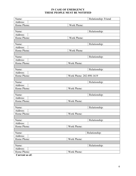## **IN CASE OF EMERGENCY THESE PEOPLE MUST BE NOTIFIED**

| Name:       | Relationship: Friend     |
|-------------|--------------------------|
| Address:    |                          |
| Home Phone: | Work Phone:              |
|             |                          |
| Name:       | Relationship:            |
| Address:    |                          |
| Home Phone: | Work Phone:              |
|             |                          |
| Name:       | Relationship:            |
| Address:    |                          |
| Home Phone: | <b>Work Phone</b>        |
|             |                          |
| Name:       | Relationship:            |
| Address:    |                          |
| Home Phone: | Work Phone:              |
|             |                          |
| Name:       | Relationship:            |
| Address:    |                          |
| Home Phone: | Work Phone: 202-898-1619 |
|             |                          |
| Name:       | Relationship:            |
| Address:    |                          |
| Home Phone: | Work Phone:              |
|             |                          |
| Name:       | Relationship:            |
| Address:    |                          |
| Home Phone: | Work Phone:              |
|             |                          |
| Name:       | Relationship:            |
| Address:    |                          |
| Home Phone: | Work Phone:              |
|             |                          |
| Name:       | Relationship:            |
| Address:    |                          |
| Home Phone: | Work Phone:              |
|             |                          |
| Name:       | Relationship:            |
| Address:    |                          |
| Home Phone: | Work Phone:              |
|             |                          |
| Name:       | Relationship:            |
| Address:    |                          |
| Home Phone: | Work Phone:              |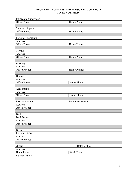## **IMPORTANT BUSINESS AND PERSONAL CONTACTS TO BE NOTIFIED**

| Immediate Supervisor: |                   |  |  |
|-----------------------|-------------------|--|--|
| Office Phone:         | Home Phone:       |  |  |
|                       |                   |  |  |
| Spouse's Supervisor:  |                   |  |  |
| Office Phone:         | Home Phone:       |  |  |
|                       |                   |  |  |
| Personal Physician:   |                   |  |  |
| Address:              |                   |  |  |
| Office Phone:         | Home Phone:       |  |  |
|                       |                   |  |  |
| Clergy:               |                   |  |  |
| Address:              |                   |  |  |
| Office Phone:         | Home Phone:       |  |  |
|                       |                   |  |  |
| Attorney:             |                   |  |  |
| Address:              |                   |  |  |
| Office Phone:         | Home Phone:       |  |  |
|                       |                   |  |  |
| Dentist:              |                   |  |  |
| Address:              |                   |  |  |
| Office Phone:         | Home Phone:       |  |  |
|                       |                   |  |  |
| Accountant:           |                   |  |  |
| Address:              |                   |  |  |
| Office Phone:         | Home Phone:       |  |  |
|                       |                   |  |  |
| Insurance Agent:      | Insurance Agency: |  |  |
| Address:              |                   |  |  |
| Office Phone:         |                   |  |  |
|                       |                   |  |  |
| Banker:               |                   |  |  |
| <b>Bank Name:</b>     |                   |  |  |
| Address:              |                   |  |  |
| Office Phone:         |                   |  |  |
|                       |                   |  |  |
| Broker:               |                   |  |  |
| Investment Co.        |                   |  |  |
| Address:              |                   |  |  |
| Office Phone:         |                   |  |  |
|                       |                   |  |  |
| Other:                | Relationship:     |  |  |
| Address:              |                   |  |  |
| Home Phone:           | Work Phone:       |  |  |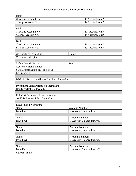# **PERSONAL FINANCE INFORMATION**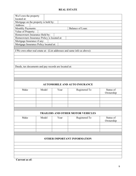## **REAL ESTATE**

| We/I own the property<br>located at:                 |                                      |      |                                                                         |           |  |  |  |  |
|------------------------------------------------------|--------------------------------------|------|-------------------------------------------------------------------------|-----------|--|--|--|--|
|                                                      |                                      |      |                                                                         |           |  |  |  |  |
| Address:                                             | Mortgage on the property is held by: |      |                                                                         |           |  |  |  |  |
| Monthly Payments:                                    |                                      |      | Balance of Loan:                                                        |           |  |  |  |  |
| Value of Property:                                   |                                      |      |                                                                         |           |  |  |  |  |
| Homeowners Insurance Held by:                        |                                      |      |                                                                         |           |  |  |  |  |
| Homeowners Insurance Policy is located at:           |                                      |      |                                                                         |           |  |  |  |  |
| Mortgage Insurance if any:                           |                                      |      |                                                                         |           |  |  |  |  |
| Mortgage Insurance Policy located at:                |                                      |      |                                                                         |           |  |  |  |  |
|                                                      |                                      |      |                                                                         |           |  |  |  |  |
|                                                      |                                      |      | I/We own other real estate at: (List addresses and same info as above): |           |  |  |  |  |
|                                                      |                                      |      |                                                                         |           |  |  |  |  |
|                                                      |                                      |      |                                                                         |           |  |  |  |  |
|                                                      |                                      |      |                                                                         |           |  |  |  |  |
|                                                      |                                      |      |                                                                         |           |  |  |  |  |
| Deeds, tax documents and pay records are located at: |                                      |      |                                                                         |           |  |  |  |  |
|                                                      |                                      |      |                                                                         |           |  |  |  |  |
|                                                      |                                      |      |                                                                         |           |  |  |  |  |
|                                                      |                                      |      |                                                                         |           |  |  |  |  |
|                                                      |                                      |      |                                                                         |           |  |  |  |  |
|                                                      |                                      |      | <b>AUTOMOBILE AND AUTO INSURANCE</b>                                    |           |  |  |  |  |
| Make                                                 | Model                                | Year | Registered To                                                           | Status of |  |  |  |  |
|                                                      |                                      |      |                                                                         | Ownership |  |  |  |  |
|                                                      |                                      |      |                                                                         |           |  |  |  |  |
|                                                      |                                      |      |                                                                         |           |  |  |  |  |
|                                                      |                                      |      |                                                                         |           |  |  |  |  |
|                                                      |                                      |      |                                                                         |           |  |  |  |  |
|                                                      |                                      |      |                                                                         |           |  |  |  |  |
|                                                      |                                      |      | <b>TRAILERS AND OTHER MOTOR VEHICLES</b>                                |           |  |  |  |  |
| Make                                                 | Model                                | Year | Registered To                                                           | Status of |  |  |  |  |
|                                                      |                                      |      |                                                                         | Ownership |  |  |  |  |
|                                                      |                                      |      |                                                                         |           |  |  |  |  |
|                                                      |                                      |      |                                                                         |           |  |  |  |  |
|                                                      |                                      |      |                                                                         |           |  |  |  |  |
|                                                      |                                      |      |                                                                         |           |  |  |  |  |
| <b>OTHER IMPORTANT INFORMATION</b>                   |                                      |      |                                                                         |           |  |  |  |  |
|                                                      |                                      |      |                                                                         |           |  |  |  |  |
|                                                      |                                      |      |                                                                         |           |  |  |  |  |
|                                                      |                                      |      |                                                                         |           |  |  |  |  |
|                                                      |                                      |      |                                                                         |           |  |  |  |  |
|                                                      |                                      |      |                                                                         |           |  |  |  |  |
|                                                      |                                      |      |                                                                         |           |  |  |  |  |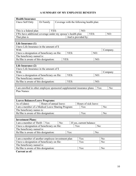# **A SUMMARY OF MY EMPLOYEE BENEFITS**

| <b>Health Insurance</b>                                                 |                        |      |      |                                          |      |          |  |
|-------------------------------------------------------------------------|------------------------|------|------|------------------------------------------|------|----------|--|
| I have Self Only                                                        | Or Family              |      |      | Coverage with the following health plan: |      |          |  |
|                                                                         |                        |      |      |                                          |      |          |  |
|                                                                         |                        |      |      |                                          |      |          |  |
| This is a federal plan                                                  |                        | YES: |      | NO:                                      |      |          |  |
| I/We have additional coverage under my spouse's health plan             |                        |      |      | YES:                                     |      | NO:      |  |
| That plan is                                                            |                        |      |      | And is provided by:                      |      |          |  |
|                                                                         |                        |      |      |                                          |      |          |  |
| Life Insurance (1)<br>I have Life Insurance in the amount of \$         |                        |      |      |                                          |      |          |  |
| With                                                                    |                        |      |      |                                          |      | Company. |  |
| I have a designation of beneficiary on file:                            |                        |      | YES: |                                          | NO:  |          |  |
| The beneficiary named is:                                               |                        |      |      |                                          |      |          |  |
| He/She is aware of this designation:                                    |                        |      | YES: |                                          | NO:  |          |  |
|                                                                         |                        |      |      |                                          |      |          |  |
| Life Insurance (2)                                                      |                        |      |      |                                          |      |          |  |
| I have Life Insurance in the amount of \$                               |                        |      |      |                                          |      |          |  |
| With                                                                    |                        |      |      |                                          |      | Company  |  |
| I have a designation of beneficiary on file:                            |                        |      | YES: |                                          | NO:  |          |  |
| The beneficiary named is:                                               |                        |      |      |                                          |      |          |  |
| He/She is aware of this designation:                                    |                        |      | YES: |                                          | NO:  |          |  |
|                                                                         |                        |      |      |                                          |      |          |  |
| I am enrolled in other employee sponsored supplemental insurance plans: |                        |      |      |                                          | Yes: | No:      |  |
| Plan Names:                                                             |                        |      |      |                                          |      |          |  |
|                                                                         |                        |      |      |                                          |      |          |  |
|                                                                         |                        |      |      |                                          |      |          |  |
| <b>Leaves Balances/Leave Programs:</b>                                  |                        |      |      |                                          |      |          |  |
| As of (date):                                                           | Hours of annual leave: |      |      | Hours of sick leave:                     |      |          |  |
| I am a member of a Medical Leave Sharing Program:                       |                        |      |      | Yes:                                     |      | No:      |  |
| The beneficiary names is:                                               |                        |      |      |                                          |      |          |  |
| He/She is aware of this designation:                                    |                        |      |      | Yes:                                     |      | No:      |  |
|                                                                         |                        |      |      |                                          |      |          |  |
| <b>Investment Plans:</b>                                                |                        |      |      |                                          |      |          |  |
| I am a member of Thrift:<br>No:<br>Yes:<br>If yes, current balance:     |                        |      |      |                                          |      |          |  |
| I have a designation of beneficiary on file:<br>Yes:<br>No:             |                        |      |      |                                          |      |          |  |
| The beneficiary named is:                                               |                        |      |      |                                          |      |          |  |
| He/She is aware of this designation:<br>Yes:<br>No:                     |                        |      |      |                                          |      |          |  |
|                                                                         |                        |      |      |                                          |      |          |  |
| I am a member of another employee investment plan                       |                        |      |      | Yes:                                     |      | No:      |  |
| I have a designation of beneficiary on file:                            |                        |      |      | Yes:                                     |      | No:      |  |
| The beneficiary named is:                                               |                        |      |      |                                          |      |          |  |
| He/She is aware of this designation:                                    |                        |      |      | Yes:                                     |      | No:      |  |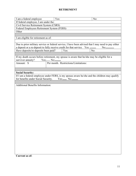# **RETIREMENT**

| Yes:<br>I am a federal employee<br>No:                                         |            |                                      |                                                                                                     |  |  |  |  |
|--------------------------------------------------------------------------------|------------|--------------------------------------|-----------------------------------------------------------------------------------------------------|--|--|--|--|
| If federal employee, I am under the:                                           |            |                                      |                                                                                                     |  |  |  |  |
| Civil Service Retirement System (CSRS)                                         |            |                                      |                                                                                                     |  |  |  |  |
| Federal Employees Retirement System (FERS)                                     |            |                                      |                                                                                                     |  |  |  |  |
| Other                                                                          |            |                                      |                                                                                                     |  |  |  |  |
|                                                                                |            |                                      |                                                                                                     |  |  |  |  |
| I am eligible for retirement as of:                                            |            |                                      |                                                                                                     |  |  |  |  |
|                                                                                |            |                                      |                                                                                                     |  |  |  |  |
|                                                                                |            |                                      | Due to prior military service or federal service, I have been advised that I may need to pay either |  |  |  |  |
| a deposit or a re-deposit to fully receive credit for that service. Yes: _____ |            |                                      | No:                                                                                                 |  |  |  |  |
| Have deposits/re-deposits been paid?                                           |            | Yes:                                 | No:                                                                                                 |  |  |  |  |
|                                                                                |            |                                      |                                                                                                     |  |  |  |  |
| survivor annuity?                                                              | $Yes:$ No: |                                      | If my death occurs before retirement, my spouse is aware that he/she may be eligible for a          |  |  |  |  |
| Amount: \$                                                                     |            | Per month. Restrictions/Limitations: |                                                                                                     |  |  |  |  |
|                                                                                |            |                                      |                                                                                                     |  |  |  |  |
|                                                                                |            |                                      |                                                                                                     |  |  |  |  |
| <b>Social Security:</b>                                                        |            |                                      |                                                                                                     |  |  |  |  |
|                                                                                |            |                                      | If I am a federal employee under FERS, is my spouse aware he/she and the children may qualify       |  |  |  |  |
| for benefits under Social Security.                                            |            | Yes: No:                             |                                                                                                     |  |  |  |  |
|                                                                                |            |                                      |                                                                                                     |  |  |  |  |
| <b>Additional Benefits Information:</b>                                        |            |                                      |                                                                                                     |  |  |  |  |
|                                                                                |            |                                      |                                                                                                     |  |  |  |  |
|                                                                                |            |                                      |                                                                                                     |  |  |  |  |
|                                                                                |            |                                      |                                                                                                     |  |  |  |  |
|                                                                                |            |                                      |                                                                                                     |  |  |  |  |
|                                                                                |            |                                      |                                                                                                     |  |  |  |  |
|                                                                                |            |                                      |                                                                                                     |  |  |  |  |
|                                                                                |            |                                      |                                                                                                     |  |  |  |  |
|                                                                                |            |                                      |                                                                                                     |  |  |  |  |
|                                                                                |            |                                      |                                                                                                     |  |  |  |  |
|                                                                                |            |                                      |                                                                                                     |  |  |  |  |
|                                                                                |            |                                      |                                                                                                     |  |  |  |  |
|                                                                                |            |                                      |                                                                                                     |  |  |  |  |
|                                                                                |            |                                      |                                                                                                     |  |  |  |  |
|                                                                                |            |                                      |                                                                                                     |  |  |  |  |
|                                                                                |            |                                      |                                                                                                     |  |  |  |  |
|                                                                                |            |                                      |                                                                                                     |  |  |  |  |
|                                                                                |            |                                      |                                                                                                     |  |  |  |  |
|                                                                                |            |                                      |                                                                                                     |  |  |  |  |
|                                                                                |            |                                      |                                                                                                     |  |  |  |  |
|                                                                                |            |                                      |                                                                                                     |  |  |  |  |
|                                                                                |            |                                      |                                                                                                     |  |  |  |  |
|                                                                                |            |                                      |                                                                                                     |  |  |  |  |
|                                                                                |            |                                      |                                                                                                     |  |  |  |  |
|                                                                                |            |                                      |                                                                                                     |  |  |  |  |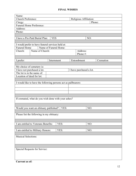## **FINAL WISHES**

| Name:                      |                                                                |                       |  |                         |           |  |  |  |  |
|----------------------------|----------------------------------------------------------------|-----------------------|--|-------------------------|-----------|--|--|--|--|
|                            | Church Preference:<br>Religious Affiliation:                   |                       |  |                         |           |  |  |  |  |
| Clergy:                    |                                                                |                       |  |                         | Phone:    |  |  |  |  |
|                            | Funeral Home Preference:                                       |                       |  |                         |           |  |  |  |  |
| Address:                   |                                                                |                       |  |                         |           |  |  |  |  |
| Phone:                     |                                                                |                       |  |                         |           |  |  |  |  |
|                            |                                                                |                       |  |                         |           |  |  |  |  |
|                            | I have a Pre-Paid Burial Plan:                                 | <b>YES</b>            |  | NO:                     |           |  |  |  |  |
|                            |                                                                |                       |  |                         |           |  |  |  |  |
|                            | I would prefer to have funeral services held at:               |                       |  |                         |           |  |  |  |  |
| <b>Funeral Home</b>        |                                                                | Name of Funeral Home: |  |                         |           |  |  |  |  |
| Church:                    | Name of Church:                                                |                       |  | Address:                |           |  |  |  |  |
|                            |                                                                |                       |  | Phone #:                |           |  |  |  |  |
|                            |                                                                |                       |  |                         |           |  |  |  |  |
| I prefer:                  |                                                                | Internment            |  | Entombment              | Cremation |  |  |  |  |
|                            |                                                                |                       |  |                         |           |  |  |  |  |
| My choice of cemetery is:  |                                                                |                       |  |                         |           |  |  |  |  |
|                            | I have not purchased a lot.                                    |                       |  | I have purchased a lot. |           |  |  |  |  |
| The lot is in the name of: |                                                                |                       |  |                         |           |  |  |  |  |
| Location of deed for lot:  |                                                                |                       |  |                         |           |  |  |  |  |
|                            |                                                                |                       |  |                         |           |  |  |  |  |
|                            | I would like to have the following persons act as pallbearers: |                       |  |                         |           |  |  |  |  |
|                            |                                                                |                       |  |                         |           |  |  |  |  |
|                            |                                                                |                       |  |                         |           |  |  |  |  |
|                            |                                                                |                       |  |                         |           |  |  |  |  |
|                            |                                                                |                       |  |                         |           |  |  |  |  |
|                            | If cremated, what do you wish done with your ashes?            |                       |  |                         |           |  |  |  |  |
|                            |                                                                |                       |  |                         |           |  |  |  |  |
|                            |                                                                |                       |  |                         |           |  |  |  |  |
|                            | Would you want an obituary published?   YES:                   |                       |  | NO:                     |           |  |  |  |  |
|                            |                                                                |                       |  |                         |           |  |  |  |  |
|                            | Please list the following in my obituary:                      |                       |  |                         |           |  |  |  |  |
|                            |                                                                |                       |  |                         |           |  |  |  |  |
|                            |                                                                |                       |  |                         |           |  |  |  |  |
|                            |                                                                | YES:                  |  |                         |           |  |  |  |  |
|                            | I am entitled to Veterans Benefits:                            |                       |  | NO:                     |           |  |  |  |  |
|                            |                                                                |                       |  |                         |           |  |  |  |  |
|                            | I am entitled to Military Honors:                              | YES:                  |  | NO:                     |           |  |  |  |  |
|                            |                                                                |                       |  |                         |           |  |  |  |  |
| <b>Musical Selections:</b> |                                                                |                       |  |                         |           |  |  |  |  |
|                            |                                                                |                       |  |                         |           |  |  |  |  |
|                            |                                                                |                       |  |                         |           |  |  |  |  |
|                            |                                                                |                       |  |                         |           |  |  |  |  |
|                            | Special Requests for Service:                                  |                       |  |                         |           |  |  |  |  |
|                            |                                                                |                       |  |                         |           |  |  |  |  |
|                            |                                                                |                       |  |                         |           |  |  |  |  |
|                            |                                                                |                       |  |                         |           |  |  |  |  |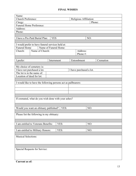## **FINAL WISHES**

| Name:                                            |                                              |                                                                |  |                         |           |  |  |  |
|--------------------------------------------------|----------------------------------------------|----------------------------------------------------------------|--|-------------------------|-----------|--|--|--|
|                                                  | Church Preference:<br>Religious Affiliation: |                                                                |  |                         |           |  |  |  |
| Clergy:                                          |                                              |                                                                |  |                         | Phone:    |  |  |  |
|                                                  | Funeral Home Preference:                     |                                                                |  |                         |           |  |  |  |
| Address:                                         |                                              |                                                                |  |                         |           |  |  |  |
| Phone:                                           |                                              |                                                                |  |                         |           |  |  |  |
|                                                  |                                              |                                                                |  |                         |           |  |  |  |
|                                                  | I have a Pre-Paid Burial Plan:               | <b>YES</b>                                                     |  | NO:                     |           |  |  |  |
|                                                  |                                              |                                                                |  |                         |           |  |  |  |
|                                                  |                                              | I would prefer to have funeral services held at:               |  |                         |           |  |  |  |
| <b>Funeral Home</b>                              |                                              | Name of Funeral Home:                                          |  |                         |           |  |  |  |
| Church:                                          | Name of Church:                              |                                                                |  | Address:                |           |  |  |  |
|                                                  |                                              |                                                                |  | Phone #:                |           |  |  |  |
|                                                  |                                              |                                                                |  |                         |           |  |  |  |
| I prefer:                                        |                                              | Internment                                                     |  | Entombment              | Cremation |  |  |  |
|                                                  |                                              |                                                                |  |                         |           |  |  |  |
| My choice of cemetery is:                        |                                              |                                                                |  |                         |           |  |  |  |
|                                                  | I have not purchased a lot.                  |                                                                |  | I have purchased a lot. |           |  |  |  |
| The lot is in the name of:                       |                                              |                                                                |  |                         |           |  |  |  |
| Location of deed for lot:                        |                                              |                                                                |  |                         |           |  |  |  |
|                                                  |                                              |                                                                |  |                         |           |  |  |  |
|                                                  |                                              | I would like to have the following persons act as pallbearers: |  |                         |           |  |  |  |
|                                                  |                                              |                                                                |  |                         |           |  |  |  |
|                                                  |                                              |                                                                |  |                         |           |  |  |  |
|                                                  |                                              |                                                                |  |                         |           |  |  |  |
|                                                  |                                              |                                                                |  |                         |           |  |  |  |
|                                                  |                                              | If cremated, what do you wish done with your ashes?            |  |                         |           |  |  |  |
|                                                  |                                              |                                                                |  |                         |           |  |  |  |
|                                                  |                                              |                                                                |  |                         |           |  |  |  |
|                                                  |                                              | Would you want an obituary published?   YES:                   |  | NO:                     |           |  |  |  |
|                                                  |                                              |                                                                |  |                         |           |  |  |  |
|                                                  | Please list the following in my obituary:    |                                                                |  |                         |           |  |  |  |
|                                                  |                                              |                                                                |  |                         |           |  |  |  |
|                                                  |                                              |                                                                |  |                         |           |  |  |  |
|                                                  |                                              | YES:                                                           |  |                         |           |  |  |  |
|                                                  | I am entitled to Veterans Benefits:          |                                                                |  | NO:                     |           |  |  |  |
|                                                  |                                              |                                                                |  |                         |           |  |  |  |
| I am entitled to Military Honors:<br>YES:<br>NO: |                                              |                                                                |  |                         |           |  |  |  |
|                                                  |                                              |                                                                |  |                         |           |  |  |  |
| <b>Musical Selections:</b>                       |                                              |                                                                |  |                         |           |  |  |  |
|                                                  |                                              |                                                                |  |                         |           |  |  |  |
|                                                  |                                              |                                                                |  |                         |           |  |  |  |
|                                                  |                                              |                                                                |  |                         |           |  |  |  |
|                                                  | Special Requests for Service:                |                                                                |  |                         |           |  |  |  |
|                                                  |                                              |                                                                |  |                         |           |  |  |  |
|                                                  |                                              |                                                                |  |                         |           |  |  |  |
|                                                  |                                              |                                                                |  |                         |           |  |  |  |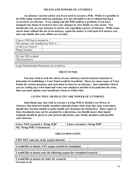#### **TRUSTS AND POWERS OF ATTORNEY**

**An attorney can best advise you if you need to execute a Will. While it is possible to do Wills using various software packages, it is not advisable to do so without having it reviewed by an attorney. Even coping and old Will could be a problem, if you have changed your home of record or have any changes in your family or your assets. You should also rely on your attorney to advise you regarding a power of attorney. While many can be done without the use of an attorney, again the money is well spent if it ensures you and your family that your affairs are in order**.

| I have a Will that is located at:            |  |  |
|----------------------------------------------|--|--|
| The attorney who handled my Will is:         |  |  |
| At the Law Firm of:                          |  |  |
| Phone Number:                                |  |  |
|                                              |  |  |
| My last Will is dated:                       |  |  |
| The Executor is:                             |  |  |
|                                              |  |  |
| Legal Guardianship Documents are located at: |  |  |

### **TRUST FUNDS**

**You may wish to seek the advice of your attorney and investment counselor to determine if establishing a Trust Fund would be beneficial. There are many types of Trust Funds for various purposes and each must be done by an attorney. Just remember that if you are setting up a trust fund and want your employee benefits to be paid into the trust, than you must update your beneficiary forms to reflect this.** 

#### **LIVING WILL OR HEALTH CARE POWER OF ATTORNEY**

**Individuals may also wish to execute a Living Will or Health Care Power of Attorney that instructs family members and physicians what steps they may want taken should they become unable to make health care decisions for themselves. Since copies of these documents may not be accepted by a physician, you should ensure that signed originals should be given to your private physician, your family members and possibly your attorney.** 

| I have NOT executed a "living Will" | I have executed a "living Will" |
|-------------------------------------|---------------------------------|
| My "living Will" is located at:     |                                 |

#### **ORGAN DONATION**

| I DO NOT want any of my organs donated.                                   |
|---------------------------------------------------------------------------|
|                                                                           |
| I would like to donate ANY organs needed for transplant.                  |
|                                                                           |
| I would like to donate only the following organs for transplant/research: |
|                                                                           |
| I would like to donate my body for research.                              |
| Current as of:                                                            |

14